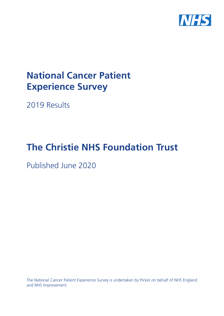

# **National Cancer Patient Experience Survey**

2019 Results

# **The Christie NHS Foundation Trust**

Published June 2020

The National Cancer Patient Experience Survey is undertaken by Picker on behalf of NHS England and NHS Improvement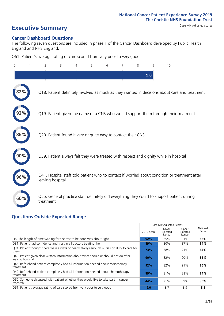# **Executive Summary** Case Mix Adjusted scores

#### **Cancer Dashboard Questions**

The following seven questions are included in phase 1 of the Cancer Dashboard developed by Public Health England and NHS England:

Q61. Patient's average rating of care scored from very poor to very good

| $\Omega$ | $\overline{2}$                                                | 3 | $\overline{4}$ | 5 | 6 | 8 | 9   | 10                                                                                            |
|----------|---------------------------------------------------------------|---|----------------|---|---|---|-----|-----------------------------------------------------------------------------------------------|
|          |                                                               |   |                |   |   |   | 9.0 |                                                                                               |
|          |                                                               |   |                |   |   |   |     | Q18. Patient definitely involved as much as they wanted in decisions about care and treatment |
|          |                                                               |   |                |   |   |   |     | Q19. Patient given the name of a CNS who would support them through their treatment           |
| 86%      | Q20. Patient found it very or quite easy to contact their CNS |   |                |   |   |   |     |                                                                                               |
|          |                                                               |   |                |   |   |   |     | Q39. Patient always felt they were treated with respect and dignity while in hospital         |
| 96%      | leaving hospital                                              |   |                |   |   |   |     | Q41. Hospital staff told patient who to contact if worried about condition or treatment after |
| 60%      | treatment                                                     |   |                |   |   |   |     | Q55. General practice staff definitely did everything they could to support patient during    |

### **Questions Outside Expected Range**

|                                                                                                           |            | Case Mix Adjusted Scores   |                            |                   |
|-----------------------------------------------------------------------------------------------------------|------------|----------------------------|----------------------------|-------------------|
|                                                                                                           | 2019 Score | Lower<br>Expected<br>Range | Upper<br>Expected<br>Range | National<br>Score |
| Q6. The length of time waiting for the test to be done was about right                                    | 92%        | 85%                        | 91%                        | 88%               |
| Q31. Patient had confidence and trust in all doctors treating them                                        | 89%        | 80%                        | 87%                        | 84%               |
| Q34. Patient thought there were always or nearly always enough nurses on duty to care for<br>them         | 73%        | 58%                        | 71%                        | 64%               |
| Q40. Patient given clear written information about what should or should not do after<br>leaving hospital | 90%        | 82%                        | 90%                        | 86%               |
| Q46. Beforehand patient completely had all information needed about radiotherapy<br>treatment             | 92%        | 82%                        | 91%                        | 86%               |
| Q49. Beforehand patient completely had all information needed about chemotherapy<br>treatment             | 89%        | 81%                        | 88%                        | 84%               |
| Q60. Someone discussed with patient whether they would like to take part in cancer<br>research            | 44%        | 21%                        | 39%                        | 30%               |
| Q61. Patient's average rating of care scored from very poor to very good                                  | 9.0        | 8.7                        | 8.9                        | 8.8               |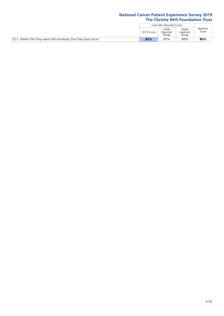|                                                                   |            | Case Mix Adiusted Scores   |                            |                   |
|-------------------------------------------------------------------|------------|----------------------------|----------------------------|-------------------|
|                                                                   | 2019 Score | Lower<br>Expected<br>Range | Upper<br>Expected<br>Range | National<br>Score |
| Q11. Patient felt they were told sensitively that they had cancer | 83%        | 83%                        | 88%                        | 86%               |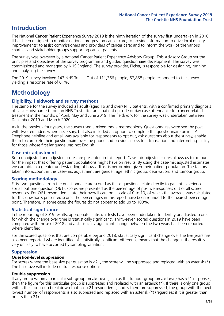## **Introduction**

The National Cancer Patient Experience Survey 2019 is the ninth iteration of the survey first undertaken in 2010. It has been designed to monitor national progress on cancer care; to provide information to drive local quality improvements; to assist commissioners and providers of cancer care; and to inform the work of the various charities and stakeholder groups supporting cancer patients.

The survey was overseen by a national Cancer Patient Experience Advisory Group. This Advisory Group set the principles and objectives of the survey programme and guided questionnaire development. The survey was commissioned and managed by NHS England. The survey provider, Picker, is responsible for designing, running and analysing the survey.

The 2019 survey involved 143 NHS Trusts. Out of 111,366 people, 67,858 people responded to the survey, yielding a response rate of 61%.

# **Methodology**

#### **Eligibility, fieldwork and survey methods**

The sample for the survey included all adult (aged 16 and over) NHS patients, with a confirmed primary diagnosis of cancer, discharged from an NHS Trust after an inpatient episode or day case attendance for cancer related treatment in the months of April, May and June 2019. The fieldwork for the survey was undertaken between December 2019 and March 2020.

As in the previous four years, the survey used a mixed mode methodology. Questionnaires were sent by post, with two reminders where necessary, but also included an option to complete the questionnaire online. A Freephone helpline and email was available for respondents to opt out, ask questions about the survey, enable them to complete their questionnaire over the phone and provide access to a translation and interpreting facility for those whose first language was not English.

#### **Case-mix adjustment**

Both unadjusted and adjusted scores are presented in this report. Case-mix adjusted scores allows us to account for the impact that differing patient populations might have on results. By using the case-mix adjusted estimates we can obtain a greater understanding of how a Trust is performing given their patient population. The factors taken into account in this case-mix adjustment are gender, age, ethnic group, deprivation, and tumour group.

#### **Scoring methodology**

Fifty-two questions from the questionnaire are scored as these questions relate directly to patient experience. For all but one question (Q61), scores are presented as the percentage of positive responses out of all scored responses. For Q61, respondents rate their overall care on a scale of 0 to 10, of which the average was calculated for this question's presented score. The percentages in this report have been rounded to the nearest percentage point. Therefore, in some cases the figures do not appear to add up to 100%.

#### **Statistical significance**

In the reporting of 2019 results, appropriate statistical tests have been undertaken to identify unadjusted scores for which the change over time is 'statistically significant'. Thirty-seven scored questions in 2019 have been compared with those of 2018 and a statistically significant change between the two years has been reported where identified.

For the scored questions that are comparable beyond 2018, statistically significant change over the five years has also been reported where identified. A statistically significant difference means that the change in the result is very unlikely to have occurred by sampling variation.

#### **Suppression**

#### **Question-level suppression**

For scores where the base size per question is  $<$ 21, the score will be suppressed and replaced with an asterisk (\*). The base size will include neutral response options.

#### **Double suppression**

If any group within a particular sub-group breakdown (such as the tumour group breakdown) has <21 responses, then the figure for this particular group is suppressed and replaced with an asterisk (\*). If there is only one group within the sub-group breakdown that has <21 respondents, and is therefore suppressed, the group with the next lowest number of respondents is also supressed and replaced with an asterisk (\*) (regardless if it is greater than or less than 21).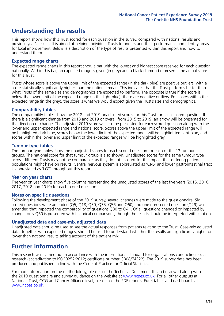# **Understanding the results**

This report shows how this Trust scored for each question in the survey, compared with national results and previous year's results. It is aimed at helping individual Trusts to understand their performance and identify areas for local improvement. Below is a description of the type of results presented within this report and how to understand them.

#### **Expected range charts**

The expected range charts in this report show a bar with the lowest and highest score received for each question nationally. Within this bar, an expected range is given (in grey) and a black diamond represents the actual score for this Trust.

Trusts whose score is above the upper limit of the expected range (in the dark blue) are positive outliers, with a score statistically significantly higher than the national mean. This indicates that the Trust performs better than what Trusts of the same size and demographics are expected to perform. The opposite is true if the score is below the lower limit of the expected range (in the light blue); these are negative outliers. For scores within the expected range (in the grey), the score is what we would expect given the Trust's size and demographics.

#### **Comparability tables**

The comparability tables show the 2018 and 2019 unadjusted scores for this Trust for each scored question. If there is a significant change from 2018 and 2019 or overall from 2015 to 2019, an arrow will be presented for the direction of change. The adjusted 2019 score will also be presented for each scored question along with the lower and upper expected range and national score. Scores above the upper limit of the expected range will be highlighted dark blue, scores below the lower limit of the expected range will be highlighted light blue, and scores within the lower and upper limit of the expected ranges will be highlighted grey.

#### **Tumour type tables**

The tumour type tables show the unadjusted scores for each scored question for each of the 13 tumour groups. The national score for that tumour group is also shown. Unadjusted scores for the same tumour type across different Trusts may not be comparable, as they do not account for the impact that differing patient populations might have on results. Central nervous system is abbreviated as 'CNS' and lower gastrointestinal tract is abbreviated as 'LGT' throughout this report.

#### **Year on year charts**

The year on year charts show five columns representing the unadjusted scores of the last five years (2015, 2016, 2017, 2018 and 2019) for each scored question.

#### **Notes on specific questions**

Following the development phase of the 2019 survey, several changes were made to the questionnaire. Six scored questions were amended (Q5, Q18, Q30, Q35, Q56 and Q60) and one non-scored question (Q29) was amended that impacted the comparability of questions Q30 to Q41. Of all questions changed or impacted by change, only Q60 is presented with historical comparisons; though the results should be interpreted with caution.

#### **Unadjusted data and case-mix adjusted data**

Unadjusted data should be used to see the actual responses from patients relating to the Trust. Case-mix adjusted data, together with expected ranges, should be used to understand whether the results are significantly higher or lower than national results taking account of the patient mix.

### **Further information**

This research was carried out in accordance with the international standard for organisations conducting social research (accreditation to ISO20252:2012; certificate number GB08/74322). The 2019 survey data has been produced and published in line with the Code of Practice for Official Statistics.

For more information on the methodology, please see the Technical Document. It can be viewed along with the 2019 questionnaire and survey quidance on the website at [www.ncpes.co.uk](https://www.ncpes.co.uk/supporting-documents). For all other outputs at National, Trust, CCG and Cancer Alliance level, please see the PDF reports, Excel tables and dashboards at [www.ncpes.co.uk.](https://www.ncpes.co.uk/current-results)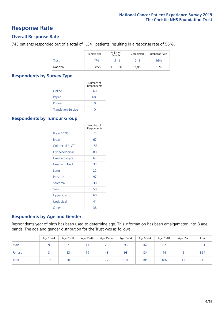### **Response Rate**

#### **Overall Response Rate**

745 patients responded out of a total of 1,341 patients, resulting in a response rate of 56%.

|          | Sample Size | Adjusted<br>Sample | Completed | Response Rate |
|----------|-------------|--------------------|-----------|---------------|
| Trust    | 1.474       | 1.341              | 745       | 56%           |
| National | 119.855     | 111.366            | 67.858    | 61%           |

#### **Respondents by Survey Type**

|                            | Number of<br>Respondents |
|----------------------------|--------------------------|
| Online                     | 60                       |
| Paper                      | 685                      |
| Phone                      |                          |
| <b>Translation Service</b> |                          |

#### **Respondents by Tumour Group**

|                      | Number of<br>Respondents |
|----------------------|--------------------------|
| <b>Brain / CNS</b>   | $\mathcal{P}$            |
| <b>Breast</b>        | 67                       |
| Colorectal / LGT     | 158                      |
| Gynaecological       | 80                       |
| Haematological       | 67                       |
| <b>Head and Neck</b> | 33                       |
| Lung                 | 22                       |
| Prostate             | 97                       |
| Sarcoma              | 30                       |
| Skin                 | 50                       |
| <b>Upper Gastro</b>  | 60                       |
| Urological           | 41                       |
| Other                | 38                       |

#### **Respondents by Age and Gender**

Respondents year of birth has been used to determine age. This information has been amalgamated into 8 age bands. The age and gender distribution for the Trust was as follows:

|        | Age 16-24 | Age 25-34 | Age 35-44 | Age 45-54 | Age 55-64 | Age 65-74 | Age 75-84 | Age 85+ | Total |
|--------|-----------|-----------|-----------|-----------|-----------|-----------|-----------|---------|-------|
| Male   |           |           |           | 29        | 98        | 167       | 62        |         | 391   |
| Female |           | 13        | 19        | 43        | 93        | 134       | 44        |         | 354   |
| Total  | 12        | 20        | 30        | 72        | 191       | 301       | 106       | 13      | 745   |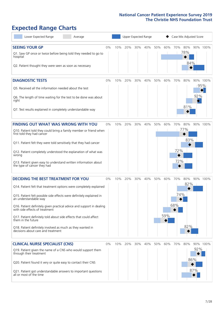# **Expected Range Charts**

| Lower Expected Range<br>Average                                                                                                                                                                                                                                                                                                                                                                                                                                                                                             |       |     | Upper Expected Range |     |     |     |            |                   |                   | Case Mix Adjusted Score |                 |
|-----------------------------------------------------------------------------------------------------------------------------------------------------------------------------------------------------------------------------------------------------------------------------------------------------------------------------------------------------------------------------------------------------------------------------------------------------------------------------------------------------------------------------|-------|-----|----------------------|-----|-----|-----|------------|-------------------|-------------------|-------------------------|-----------------|
| <b>SEEING YOUR GP</b><br>Q1. Saw GP once or twice before being told they needed to go to<br>hospital<br>Q2. Patient thought they were seen as soon as necessary                                                                                                                                                                                                                                                                                                                                                             | $0\%$ | 10% | 20%                  | 30% | 40% | 50% | 60%        | 70%               | 80%<br>78%<br>84% |                         | 90% 100%        |
| <b>DIAGNOSTIC TESTS</b><br>Q5. Received all the information needed about the test<br>Q6. The length of time waiting for the test to be done was about<br>right<br>Q7. Test results explained in completely understandable way                                                                                                                                                                                                                                                                                               | $0\%$ | 10% | 20%                  | 30% | 40% | 50% | 60%        | 70%               | 80%<br>81%        | 92%                     | 90% 100%<br>95% |
| <b>FINDING OUT WHAT WAS WRONG WITH YOU</b><br>Q10. Patient told they could bring a family member or friend when<br>first told they had cancer<br>Q11. Patient felt they were told sensitively that they had cancer<br>Q12. Patient completely understood the explanation of what was<br>wrong<br>Q13. Patient given easy to understand written information about<br>the type of cancer they had                                                                                                                             | $0\%$ | 10% | 20%                  | 30% | 40% | 50% | 60%        | 70%<br>72%<br>72% | 80%<br>77%<br>83% |                         | 90% 100%        |
| <b>DECIDING THE BEST TREATMENT FOR YOU</b><br>Q14. Patient felt that treatment options were completely explained<br>Q15. Patient felt possible side effects were definitely explained in<br>an understandable way<br>Q16. Patient definitely given practical advice and support in dealing<br>with side effects of treatment<br>Q17. Patient definitely told about side effects that could affect<br>them in the future<br>Q18. Patient definitely involved as much as they wanted in<br>decisions about care and treatment | $0\%$ | 10% | 20%                  | 30% | 40% | 50% | 60%<br>59% | 70%<br>74%<br>68% | 80%<br>82%<br>82% |                         | 90% 100%        |
| <b>CLINICAL NURSE SPECIALIST (CNS)</b><br>Q19. Patient given the name of a CNS who would support them<br>through their treatment<br>Q20. Patient found it very or quite easy to contact their CNS<br>Q21. Patient got understandable answers to important questions<br>all or most of the time                                                                                                                                                                                                                              | $0\%$ | 10% | 20%                  | 30% | 40% | 50% | 60%        | 70%               | 80%               | 92%<br>86%<br>87%       | 90% 100%        |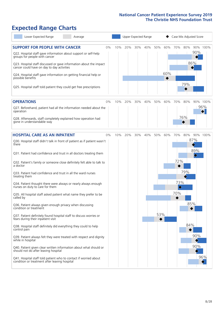# **Expected Range Charts**

| Lower Expected Range<br>Average                                                                                                                                                                                                                                                                                                                                                                                                                                                                                                                                                                                                                                                                                                                                                                                                                                                                                                                                                                                                                                       |     |     | Upper Expected Range |     |            |            |                                             | Case Mix Adjusted Score  |                               |                 |
|-----------------------------------------------------------------------------------------------------------------------------------------------------------------------------------------------------------------------------------------------------------------------------------------------------------------------------------------------------------------------------------------------------------------------------------------------------------------------------------------------------------------------------------------------------------------------------------------------------------------------------------------------------------------------------------------------------------------------------------------------------------------------------------------------------------------------------------------------------------------------------------------------------------------------------------------------------------------------------------------------------------------------------------------------------------------------|-----|-----|----------------------|-----|------------|------------|---------------------------------------------|--------------------------|-------------------------------|-----------------|
| <b>SUPPORT FOR PEOPLE WITH CANCER</b><br>$0\%$<br>Q22. Hospital staff gave information about support or self-help<br>groups for people with cancer<br>Q23. Hospital staff discussed or gave information about the impact<br>cancer could have on day to day activities<br>Q24. Hospital staff gave information on getting financial help or<br>possible benefits<br>Q25. Hospital staff told patient they could get free prescriptions                                                                                                                                                                                                                                                                                                                                                                                                                                                                                                                                                                                                                                | 10% | 20% | 30%                  | 40% | 50%        | 60%<br>60% | 70%                                         | 80%<br>86%<br>79%        | 90%                           | 90% 100%        |
| <b>OPERATIONS</b><br>0%<br>Q27. Beforehand, patient had all the information needed about the<br>operation<br>Q28. Afterwards, staff completely explained how operation had<br>gone in understandable way                                                                                                                                                                                                                                                                                                                                                                                                                                                                                                                                                                                                                                                                                                                                                                                                                                                              | 10% | 20% | 30%                  | 40% | 50%        | 60%        | 70%                                         | 80%<br>76%               |                               | 90% 100%<br>96% |
| <b>HOSPITAL CARE AS AN INPATIENT</b><br>$0\%$<br>Q30. Hospital staff didn't talk in front of patient as if patient wasn't<br>there<br>Q31. Patient had confidence and trust in all doctors treating them<br>Q32. Patient's family or someone close definitely felt able to talk to<br>a doctor<br>Q33. Patient had confidence and trust in all the ward nurses<br>treating them<br>Q34. Patient thought there were always or nearly always enough<br>nurses on duty to care for them<br>Q35. All hospital staff asked patient what name they prefer to be<br>called by<br>Q36. Patient always given enough privacy when discussing<br>condition or treatment<br>Q37. Patient definitely found hospital staff to discuss worries or<br>fears during their inpatient visit<br>Q38. Hospital staff definitely did everything they could to help<br>control pain<br>Q39. Patient always felt they were treated with respect and dignity<br>while in hospital<br>Q40. Patient given clear written information about what should or<br>should not do after leaving hospital | 10% | 20% | 30%                  | 40% | 50%<br>53% | 60%        | 70%<br>72%<br>73%<br>$\blacklozenge$<br>70% | 80%<br>79%<br>85%<br>84% | 87%<br>89%<br>◇<br>90%<br>90% | 90% 100%<br>96% |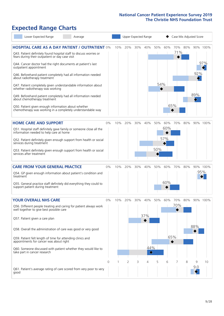# **Expected Range Charts**

| Lower Expected Range                                                                                                               | Average |    |     | Upper Expected Range |     |          | Case Mix Adjusted Score |     |            |     |     |          |
|------------------------------------------------------------------------------------------------------------------------------------|---------|----|-----|----------------------|-----|----------|-------------------------|-----|------------|-----|-----|----------|
| <b>HOSPITAL CARE AS A DAY PATIENT / OUTPATIENT 0%</b><br>Q43. Patient definitely found hospital staff to discuss worries or        |         |    | 10% | 20%                  | 30% | 40%      | 50%                     | 60% | 70%<br>71% | 80% |     | 90% 100% |
| fears during their outpatient or day case visit<br>Q44. Cancer doctor had the right documents at patient's last                    |         |    |     |                      |     |          |                         |     |            |     |     | 97%      |
| outpatient appointment<br>Q46. Beforehand patient completely had all information needed                                            |         |    |     |                      |     |          |                         |     |            |     | 92% |          |
| about radiotherapy treatment<br>Q47. Patient completely given understandable information about<br>whether radiotherapy was working |         |    |     |                      |     |          | 54%                     |     |            |     |     |          |
| Q49. Beforehand patient completely had all information needed<br>about chemotherapy treatment                                      |         |    |     |                      |     |          |                         |     |            |     | 89% |          |
| Q50. Patient given enough information about whether<br>chemotherapy was working in a completely understandable way                 |         |    |     |                      |     |          |                         |     | 65%        |     |     |          |
| <b>HOME CARE AND SUPPORT</b>                                                                                                       |         | 0% | 10% | 20%                  | 30% | 40%      | 50%                     | 60% | 70%        | 80% |     | 90% 100% |
| Q51. Hospital staff definitely gave family or someone close all the<br>information needed to help care at home                     |         |    |     |                      |     |          |                         | 60% |            |     |     |          |
| Q52. Patient definitely given enough support from health or social<br>services during treatment                                    |         |    |     |                      |     |          |                         | 57% |            |     |     |          |
| Q53. Patient definitely given enough support from health or social<br>services after treatment                                     |         |    |     |                      |     |          | 50%                     |     |            |     |     |          |
| <b>CARE FROM YOUR GENERAL PRACTICE</b>                                                                                             |         | 0% | 10% | 20%                  | 30% | 40%      | 50%                     | 60% | 70%        | 80% |     | 90% 100% |
| Q54. GP given enough information about patient's condition and<br>treatment                                                        |         |    |     |                      |     |          |                         |     |            |     |     | 95%      |
| Q55. General practice staff definitely did everything they could to<br>support patient during treatment                            |         |    |     |                      |     |          |                         | 60% |            |     |     |          |
| <b>YOUR OVERALL NHS CARE</b>                                                                                                       |         | 0% | 10% | 20%                  | 30% | 40%      | 50%                     | 60% | 70%        | 80% |     | 90% 100% |
| Q56. Different people treating and caring for patient always work<br>well together to give best possible care                      |         |    |     |                      |     |          |                         |     | 70%        |     |     |          |
| Q57. Patient given a care plan                                                                                                     |         |    |     |                      |     | 37%      |                         |     |            |     |     |          |
| Q58. Overall the administration of care was good or very good                                                                      |         |    |     |                      |     |          |                         |     |            |     | 88% |          |
| Q59. Patient felt length of time for attending clinics and<br>appointments for cancer was about right                              |         |    |     |                      |     |          |                         | 65% |            |     |     |          |
| Q60. Someone discussed with patient whether they would like to<br>take part in cancer research                                     |         |    |     |                      |     | 44%<br>♦ |                         |     |            |     |     |          |
|                                                                                                                                    |         | 0  |     | 2                    | 3   | 4        | 5                       | 6   |            | 8   | 9   | 10       |
| Q61. Patient's average rating of care scored from very poor to very<br>good                                                        |         |    |     |                      |     |          |                         |     |            |     | 9.0 |          |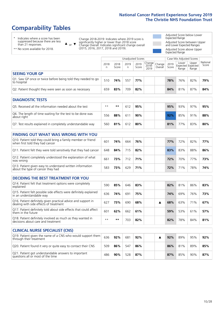# **Comparability Tables**

\* Indicates where a score has been suppressed because there are less than 21 responses.

\*\* No score available for 2018.

 $\triangle$  or  $\nabla$ 

Change 2018-2019: Indicates where 2019 score is significantly higher or lower than 2018 score Change Overall: Indicates significant change overall (2015, 2016, 2017, 2018 and 2019).

Adjusted Score below Lower Expected Range Adjusted Score between Upper and Lower Expected Ranges Adjusted Score above Upper Expected Range

|                                                                             |           |               | Unadjusted Scores |               |                                         |               | Case Mix Adjusted Scores            |                |                   |
|-----------------------------------------------------------------------------|-----------|---------------|-------------------|---------------|-----------------------------------------|---------------|-------------------------------------|----------------|-------------------|
|                                                                             | 2018<br>n | 2018<br>Score | 2019<br>n         | 2019<br>Score | Change<br>2018-<br>2010 Overall<br>2019 | 2019<br>Score | Lower<br>Expected Expected<br>Range | Upper<br>Range | National<br>Score |
| <b>SEEING YOUR GP</b>                                                       |           |               |                   |               |                                         |               |                                     |                |                   |
| Q1. Saw GP once or twice before being told they needed to go<br>to hospital | 510       | 74%           | 557               | 77%           |                                         | 78%           | 76%                                 | 82%            | 79%               |
| Q2. Patient thought they were seen as soon as necessary                     | 659       | 83%           | 709               | 82%           |                                         | 84%           | 81%                                 | 87%            | 84%               |
| <b>DIAGNOSTIC TESTS</b>                                                     |           |               |                   |               |                                         |               |                                     |                |                   |

| Q5. Received all the information needed about the test                    | $**$ | **  | 612 | 95% |  | 95% | 93% | 97% | 95% |
|---------------------------------------------------------------------------|------|-----|-----|-----|--|-----|-----|-----|-----|
| Q6. The length of time waiting for the test to be done was<br>about right | 556  | 88% | 61  | 90% |  | 92% | 85% | 91% | 88% |
| Q7. Test results explained in completely understandable way               | 560  | 81% | 612 | 80% |  | 81% | 77% | 83% | 80% |

| <b>FINDING OUT WHAT WAS WRONG WITH YOU</b>                                                      |     |     |     |     |     |     |     |     |
|-------------------------------------------------------------------------------------------------|-----|-----|-----|-----|-----|-----|-----|-----|
| Q10. Patient told they could bring a family member or friend<br>when first told they had cancer | 601 | 74% | 664 | 76% | 77% | 72% | 82% | 77% |
| Q11. Patient felt they were told sensitively that they had cancer                               | 648 | 84% | 715 | 82% | 83% | 83% | 88% | 86% |
| Q12. Patient completely understood the explanation of what<br>was wrong                         | 661 | 73% | 712 | 71% | 72% | 70% | 77% | 73% |
| Q13. Patient given easy to understand written information<br>about the type of cancer they had  | 583 | 73% | 629 | 71% | 72% | 71% | 78% | 74% |

| <b>DECIDING THE BEST TREATMENT FOR YOU</b>                                                              |      |     |     |     |  |     |     |     |     |
|---------------------------------------------------------------------------------------------------------|------|-----|-----|-----|--|-----|-----|-----|-----|
| Q14. Patient felt that treatment options were completely<br>explained                                   | 590  | 85% | 646 | 83% |  | 82% | 81% | 86% | 83% |
| Q15. Patient felt possible side effects were definitely explained<br>in an understandable way           | 636  | 74% | 691 | 75% |  | 74% | 69% | 76% | 73% |
| Q16. Patient definitely given practical advice and support in<br>dealing with side effects of treatment | 627  | 73% | 690 | 68% |  | 68% | 63% | 71% | 67% |
| Q17. Patient definitely told about side effects that could affect<br>them in the future                 | 601  | 62% | 662 | 61% |  | 59% | 53% | 61% | 57% |
| Q18. Patient definitely involved as much as they wanted in<br>decisions about care and treatment        | $**$ | **  | 703 | 82% |  | 82% | 78% | 84% | 81% |

| <b>CLINICAL NURSE SPECIALIST (CNS)</b>                                                    |     |     |     |     |  |     |     |     |     |
|-------------------------------------------------------------------------------------------|-----|-----|-----|-----|--|-----|-----|-----|-----|
| Q19. Patient given the name of a CNS who would support them<br>through their treatment    | 636 | 92% | 681 | 92% |  | 92% | 89% | 95% | 92% |
| Q20. Patient found it very or quite easy to contact their CNS                             | 509 | 86% | 547 | 86% |  | 86% | 81% | 89% | 85% |
| Q21. Patient got understandable answers to important<br>questions all or most of the time | 486 | 90% | 528 | 87% |  | 87% | 85% | 90% | 87% |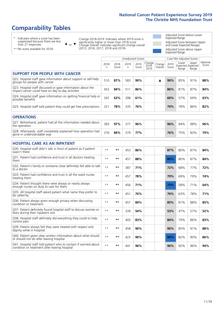# **Comparability Tables**

\* Indicates where a score has been suppressed because there are less than 21 responses.

\*\* No score available for 2018.

 $\triangle$  or  $\nabla$ 

Change 2018-2019: Indicates where 2019 score is significantly higher or lower than 2018 score Change Overall: Indicates significant change overall (2015, 2016, 2017, 2018 and 2019).

Adjusted Score below Lower Expected Range Adjusted Score between Upper and Lower Expected Ranges Adjusted Score above Upper Expected Range

|                                                                                                                   |           |               | <b>Unadjusted Scores</b> |               |                         |                   |               | Case Mix Adjusted Scores            |                |                   |
|-------------------------------------------------------------------------------------------------------------------|-----------|---------------|--------------------------|---------------|-------------------------|-------------------|---------------|-------------------------------------|----------------|-------------------|
|                                                                                                                   | 2018<br>n | 2018<br>Score | 2019<br>n                | 2019<br>Score | Change<br>2018-<br>2019 | Change<br>Overall | 2019<br>Score | Lower<br>Expected Expected<br>Range | Upper<br>Range | National<br>Score |
| <b>SUPPORT FOR PEOPLE WITH CANCER</b>                                                                             |           |               |                          |               |                         |                   |               |                                     |                |                   |
| Q22. Hospital staff gave information about support or self-help<br>groups for people with cancer                  | 510       | 87%           | 583                      | 90%           |                         | ▲                 | 90%           | 85%                                 | 91%            | 88%               |
| Q23. Hospital staff discussed or gave information about the<br>impact cancer could have on day to day activities  | 452       | 84%           | 511                      | 86%           |                         |                   | 86%           | 81%                                 | 87%            | 84%               |
| Q24. Hospital staff gave information on getting financial help or<br>possible benefits                            | 347       | 63%           | 398                      | 61%           |                         |                   | 60%           | 57%                                 | 69%            | 63%               |
| Q25. Hospital staff told patient they could get free prescriptions                                                | 321       | 78%           | 335                      | 76%           |                         |                   | 79%           | 78%                                 | 86%            | 82%               |
| <b>OPERATIONS</b>                                                                                                 |           |               |                          |               |                         |                   |               |                                     |                |                   |
| Q27. Beforehand, patient had all the information needed about<br>the operation                                    | 383       | 97%           | 377                      | 96%           |                         |                   | 96%           | 94%                                 | 98%            | 96%               |
| Q28. Afterwards, staff completely explained how operation had<br>gone in understandable way                       | 376       | 84%           | 379                      | 77%           |                         |                   | 76%           | 75%                                 | 83%            | 79%               |
| <b>HOSPITAL CARE AS AN INPATIENT</b>                                                                              |           |               |                          |               |                         |                   |               |                                     |                |                   |
| Q30. Hospital staff didn't talk in front of patient as if patient<br>wasn't there                                 | $* *$     | **            | 453                      | 86%           |                         |                   | 87%           | 80%                                 | 87%            | 84%               |
| Q31. Patient had confidence and trust in all doctors treating<br>them                                             | $**$      | $***$         | 457                      | 88%           |                         |                   | 89%           | 80%                                 | 87%            | 84%               |
| Q32. Patient's family or someone close definitely felt able to talk<br>to a doctor                                | $* *$     | $**$          | 387                      | 71%           |                         |                   | 72%           | 68%                                 | 77%            | 72%               |
| Q33. Patient had confidence and trust in all the ward nurses<br>treating them                                     | $* *$     | **            | 457                      | 78%           |                         |                   | 79%           | 69%                                 | 79%            | 74%               |
| Q34. Patient thought there were always or nearly always<br>enough nurses on duty to care for them                 | $* *$     | $***$         | 456                      | 71%           |                         |                   | 73%           | 58%                                 | 71%            | 64%               |
| Q35. All hospital staff asked patient what name they prefer to<br>be called by                                    | $* *$     | **            | 451                      | 70%           |                         |                   | 70%           | 63%                                 | 78%            | 71%               |
| Q36. Patient always given enough privacy when discussing<br>condition or treatment                                | $* *$     | $***$         | 457                      | 84%           |                         |                   | 85%           | 81%                                 | 88%            | 85%               |
| Q37. Patient definitely found hospital staff to discuss worries or<br>fears during their inpatient visit          | $**$      | $***$         | 339                      | 54%           |                         |                   | 53%           | 47%                                 | 57%            | 52%               |
| Q38. Hospital staff definitely did everything they could to help<br>control pain                                  | $* *$     | $***$         | 405                      | 83%           |                         |                   | 84%           | 79%                                 | 86%            | 83%               |
| Q39. Patient always felt they were treated with respect and<br>dignity while in hospital                          | $**$      | $***$         | 458                      | 90%           |                         |                   | 90%           | 85%                                 | 91%            | 88%               |
| Q40. Patient given clear written information about what should<br>or should not do after leaving hospital         | $**$      | $***$         | 423                      | 90%           |                         |                   | 90%           | 82%                                 | 90%            | 86%               |
| Q41. Hospital staff told patient who to contact if worried about<br>condition or treatment after leaving hospital | $**$      | **            | 441                      | 96%           |                         |                   | 96%           | 92%                                 | 96%            | 94%               |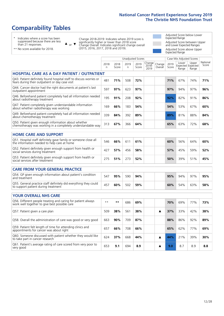# **Comparability Tables**

\* Indicates where a score has been suppressed because there are less than 21 responses.

\*\* No score available for 2018.

 $\triangle$  or  $\nabla$ 

Change 2018-2019: Indicates where 2019 score is significantly higher or lower than 2018 score Change Overall: Indicates significant change overall (2015, 2016, 2017, 2018 and 2019).

Adjusted Score below Lower Expected Range Adjusted Score between Upper and Lower Expected Ranges Adjusted Score above Upper Expected Range

|                                                                                                                       |              |               |            | <b>Unadjusted Scores</b> |                         |                   |               | Case Mix Adjusted Scores            |                |                   |
|-----------------------------------------------------------------------------------------------------------------------|--------------|---------------|------------|--------------------------|-------------------------|-------------------|---------------|-------------------------------------|----------------|-------------------|
|                                                                                                                       | 2018<br>n    | 2018<br>Score | 2019<br>n. | 2019<br>Score            | Change<br>2018-<br>2019 | Change<br>Overall | 2019<br>Score | Lower<br>Expected Expected<br>Range | Upper<br>Range | National<br>Score |
| <b>HOSPITAL CARE AS A DAY PATIENT / OUTPATIENT</b>                                                                    |              |               |            |                          |                         |                   |               |                                     |                |                   |
| Q43. Patient definitely found hospital staff to discuss worries or<br>fears during their outpatient or day case visit | 481          | 71%           | 508        | 72%                      |                         |                   | 71%           | 67%                                 | 74%            | 71%               |
| Q44. Cancer doctor had the right documents at patient's last<br>outpatient appointment                                | 597          | 97%           | 623        | 97%                      |                         |                   | 97%           | 94%                                 | 97%            | 96%               |
| Q46. Beforehand patient completely had all information needed<br>about radiotherapy treatment                         | 195          | 91%           | 208        | 92%                      |                         |                   | 92%           | 82%                                 | 91%            | 86%               |
| Q47. Patient completely given understandable information<br>about whether radiotherapy was working                    | 169          | 66%           | 183        | 54%                      |                         |                   | 54%           | 53%                                 | 67%            | 60%               |
| Q49. Beforehand patient completely had all information needed<br>about chemotherapy treatment                         | 339          | 84%           | 392        | 89%                      |                         |                   | 89%           | 81%                                 | 88%            | 84%               |
| Q50. Patient given enough information about whether<br>chemotherapy was working in a completely understandable way    | 313          | 67%           | 366        | 64%                      |                         |                   | 65%           | 63%                                 | 72%            | 68%               |
| <b>HOME CARE AND SUPPORT</b>                                                                                          |              |               |            |                          |                         |                   |               |                                     |                |                   |
| Q51. Hospital staff definitely gave family or someone close all<br>the information needed to help care at home        | 546          | 66%           | 611        | 61%                      |                         |                   | 60%           | 56%                                 | 64%            | 60%               |
| Q52. Patient definitely given enough support from health or<br>social services during treatment                       | 427          | 57%           | 456        | 58%                      |                         |                   | 57%           | 45%                                 | 59%            | 52%               |
| Q53. Patient definitely given enough support from health or<br>social services after treatment                        | 275          | 51%           | 273        | 52%                      |                         |                   | 50%           | 39%                                 | 51%            | 45%               |
| CARE FROM YOUR GENERAL PRACTICE                                                                                       |              |               |            |                          |                         |                   |               |                                     |                |                   |
| Q54. GP given enough information about patient's condition<br>and treatment                                           | 547          | 95%           | 590        | 94%                      |                         |                   | 95%           | 94%                                 | 97%            | 95%               |
| Q55. General practice staff definitely did everything they could<br>to support patient during treatment               | 457          | 60%           | 502        | 59%                      |                         |                   | 60%           | 54%                                 | 63%            | 58%               |
| <b>YOUR OVERALL NHS CARE</b>                                                                                          |              |               |            |                          |                         |                   |               |                                     |                |                   |
| Q56. Different people treating and caring for patient always<br>work well together to give best possible care         | $\star\star$ | $***$         | 686        | 69%                      |                         |                   | 70%           | 69%                                 | 77%            | 73%               |
| Q57. Patient given a care plan                                                                                        | 509          | 38%           | 561        | 38%                      |                         | ▲                 | 37%           | 33%                                 | 42%            | 38%               |
| Q58. Overall the administration of care was good or very good                                                         | 663          | 90%           | 709        | 87%                      |                         |                   | 88%           | 86%                                 | 92%            | 89%               |
| Q59. Patient felt length of time for attending clinics and<br>appointments for cancer was about right                 | 657          | 66%           | 708        | 66%                      |                         |                   | 65%           | 62%                                 | 77%            | 69%               |
| Q60. Someone discussed with patient whether they would like<br>to take part in cancer research                        | 624          | 37%           | 668        | 44%                      |                         | ▲                 | 44%           | 21%                                 | 39%            | 30%               |
| Q61. Patient's average rating of care scored from very poor to<br>very good                                           | 653          | 9.1           | 694        | 8.9                      |                         | A                 | 9.0           | 8.7                                 | 8.9            | 8.8               |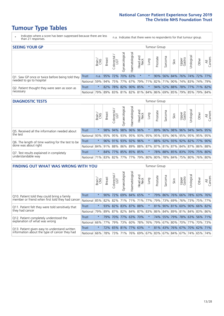- \* Indicates where a score has been suppressed because there are less than 21 responses.
- n.a. Indicates that there were no respondents for that tumour group.

| <b>SEEING YOUR GP</b>                           |              |          |                 |                     |                    |                |                  |                             | Tumour Group |         |                                                     |                 |           |       |                |
|-------------------------------------------------|--------------|----------|-----------------|---------------------|--------------------|----------------|------------------|-----------------------------|--------------|---------|-----------------------------------------------------|-----------------|-----------|-------|----------------|
|                                                 |              | Brain    | <b>Breast</b>   | Colorectal<br>LGT   | ᠊ᢛ<br>Gynaecologic | Haematological | Head and<br>Neck | Dung                        | Prostate     | Sarcoma | Skin                                                | Upper<br>Gastro | Irologica | Other | All<br>Cancers |
| Q1. Saw GP once or twice before being told they | <b>Trust</b> |          | n.a. $95\%$ 72% |                     |                    | 70% 63%        | $\star$          |                             | 90%          |         | 56% 84% 76% 74% 72% 77%                             |                 |           |       |                |
| needed to go to hospital                        | National I   | 59%      |                 |                     |                    |                |                  | 94% 75% 77% 67% 79% 71% 82% |              |         | 71% 90% 74% 83% 74% 79%                             |                 |           |       |                |
| Q2. Patient thought they were seen as soon as   | <b>Trust</b> | $^\star$ |                 | 82% 78% 82% 90% 85% |                    |                |                  |                             |              |         | 94% 52% 88% 78% 77% 71% 82%                         |                 |           |       |                |
| necessary                                       | National     | 79%      |                 |                     |                    |                |                  |                             |              |         | 89% 83% 81% 82% 81% 84% 86% 69% 85% 79% 85% 79% 84% |                 |           |       |                |

#### **DIAGNOSTIC TESTS** Tumour Group

|                                                   |                                                                  | Brain   | <b>Breast</b> | olorectal.<br>LGT   | $\overline{\sigma}$<br>Gynaecologic | Haematological | Head and<br>Neck | Lung    | Prostate | Sarcoma                 | Skin | Upper<br>Gastro | rological                                               | Other | All<br>Cancers |
|---------------------------------------------------|------------------------------------------------------------------|---------|---------------|---------------------|-------------------------------------|----------------|------------------|---------|----------|-------------------------|------|-----------------|---------------------------------------------------------|-------|----------------|
| Q5. Received all the information needed about     | Trust                                                            | $\star$ | 98%           | 94%                 | 98%                                 | 96% 96%        |                  |         | 89%      | 96%                     |      |                 | 98% 96% 94% 94% 95%                                     |       |                |
| the test                                          | National                                                         | 93%     |               | 95% 95%             | 93%                                 |                |                  |         |          | 95% 93% 95% 95% 93% 96% |      | 95%             | 95% 95% 95%                                             |       |                |
| Q6. The length of time waiting for the test to be | Trust                                                            | $\star$ |               | $96\%$ 91%          |                                     | 93% 92% 96%    |                  | $\star$ |          |                         |      |                 | 88% 92% 93% 92% 82% 77% 90%                             |       |                |
| done was about right                              | <b>National</b>                                                  |         |               |                     |                                     |                |                  |         |          |                         |      |                 | 84% 91% 88% 86% 89% 88% 87% 87% 81% 87% 84% 87% 86% 88% |       |                |
| Q7. Test results explained in completely          | Trust                                                            | $\star$ |               | 84% 77% 85% 85% 85% |                                     |                |                  | $\star$ |          |                         |      |                 | 78% 88% 85% 83% 70% 75% 80%                             |       |                |
| understandable way                                | National 71% 83% 82% 77% 77% 79% 80% 80% 78% 84% 75% 80% 76% 80% |         |               |                     |                                     |                |                  |         |          |                         |      |                 |                                                         |       |                |

|                                                   | <b>FINDING OUT WHAT WAS WRONG WITH YOU</b><br>Gynaecological<br>olorectal.<br>LGT<br><b>Breast</b><br>Brain<br>Û |         |     |     |             |                   |                  |         |          |         |             |                                         |           |                                         |                |
|---------------------------------------------------|------------------------------------------------------------------------------------------------------------------|---------|-----|-----|-------------|-------------------|------------------|---------|----------|---------|-------------|-----------------------------------------|-----------|-----------------------------------------|----------------|
|                                                   |                                                                                                                  |         |     |     |             | aematologica<br>Ĩ | Head and<br>Neck | Lung    | Prostate | Sarcoma | Skin        | Upper<br>Gastro                         | rological | Other                                   | All<br>Cancers |
| Q10. Patient told they could bring a family       | Trust                                                                                                            | $\star$ | 90% | 72% | 69%         | 84%               | 65%              |         | 79%      | 86%     | 76%         | 66%                                     | 78%       | 63%                                     | 76%            |
| member or friend when first told they had cancer  | National                                                                                                         | 85%     | 82% | 82% | 71%         | 71%               | 71%              | 77%     |          | 79% 73% | 69%         | 76%                                     | 73%       | 75%                                     | 77%            |
| Q11. Patient felt they were told sensitively that | Trust                                                                                                            | $\star$ | 93% | 82% | 83%         | 87% 88%           |                  | $\star$ | 81%      |         | 90% 81%     | 60%                                     | 90%       | 66% 82%                                 |                |
| they had cancer                                   | National                                                                                                         | 79%     |     |     | 89% 87% 82% |                   |                  |         |          |         |             |                                         |           | 84% 87% 83% 86% 84% 89% 81% 84% 83% 86% |                |
| Q12. Patient completely understood the            | Trust                                                                                                            | $\star$ | 79% | 70% | 77%         | 63%               | 70%              |         | 74%      | 55%     | 79%         |                                         | 78% 63%   | 56% 71%                                 |                |
| explanation of what was wrong                     | National                                                                                                         | 66%     | 77% | 79% | 73%         | 60%               |                  | 78% 76% |          |         | 79% 67% 80% | 70%                                     | 77%       |                                         | 70% 73%        |
| Q13. Patient given easy to understand written     | Trust                                                                                                            | $\star$ |     |     | 72% 65% 81% | 77% 63%           |                  | $\star$ |          | 81% 43% | 76%         | 67%                                     | 70%       | 62%                                     | 71%            |
| information about the type of cancer they had     | National                                                                                                         | 66%     | 78% | 73% | 71%         |                   |                  |         |          |         |             | 76%   69%   67%   83%   67%   84%   67% | 74%       | 65%                                     | 74%            |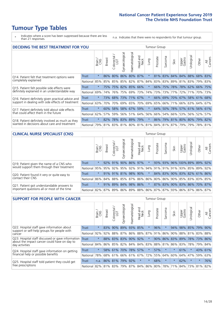\* Indicates where a score has been suppressed because there are less than 21 responses.

n.a. Indicates that there were no respondents for that tumour group.

| <b>DECIDING THE BEST TREATMENT FOR YOU</b>         | <b>Tumour Group</b><br>Haematological<br>Gynaecological<br>Jrological<br>Colorectal.<br>LGT<br>ad and<br>Neck<br>Sarcoma<br>Prostate<br>All<br>Cancers<br>Upper<br>Gastro<br><b>Breast</b><br>Other<br>Lung<br>Brain<br>Skin<br>Head<br>$\star$<br>80%<br>86%<br>80%<br>87%<br>$\star$<br>83% 84% 84% 88% 68%<br>86%<br>81%<br>83%<br>Trust |         |     |     |     |                 |         |          |     |         |                                     |     |     |                 |     |
|----------------------------------------------------|---------------------------------------------------------------------------------------------------------------------------------------------------------------------------------------------------------------------------------------------------------------------------------------------------------------------------------------------|---------|-----|-----|-----|-----------------|---------|----------|-----|---------|-------------------------------------|-----|-----|-----------------|-----|
|                                                    |                                                                                                                                                                                                                                                                                                                                             |         |     |     |     |                 |         |          |     |         |                                     |     |     |                 |     |
| Q14. Patient felt that treatment options were      |                                                                                                                                                                                                                                                                                                                                             |         |     |     |     |                 |         |          |     |         |                                     |     |     |                 |     |
| completely explained                               | National                                                                                                                                                                                                                                                                                                                                    | 85%     | 85% | 85% |     | 85% 82% 87%     |         | 84%      |     |         | 83% 83% 89% 81% 83% 79% 83%         |     |     |                 |     |
| Q15. Patient felt possible side effects were       | Trust                                                                                                                                                                                                                                                                                                                                       | $\star$ | 75% | 75% |     | 82% 85% 66%     |         | $\star$  | 66% | 75%     | 78%                                 |     |     | 78% 62% 66% 75% |     |
| definitely explained in an understandable way      | National                                                                                                                                                                                                                                                                                                                                    | 69%     | 74% | 76% | 75% | 69%             | 73%     | 74%      | 73% | 73%     | 77%                                 | 72% | 71% | 70%             | 73% |
| Q16. Patient definitely given practical advice and | Trust                                                                                                                                                                                                                                                                                                                                       | $\star$ | 73% | 68% |     | 73% 71% 67%     |         | $\star$  |     | 66% 69% | 70%                                 | 67% |     | 58% 61% 68%     |     |
| support in dealing with side effects of treatment  | National                                                                                                                                                                                                                                                                                                                                    | 63%     | 70% | 70% | 69% |                 | 65% 70% | 69%      |     |         | 65% 66% 71%                         |     |     | 66% 63% 64% 67% |     |
| Q17. Patient definitely told about side effects    | Trust                                                                                                                                                                                                                                                                                                                                       | $\star$ | 60% | 58% | 58% | 67% 59%         |         | $^\star$ | 64% | 50%     | 78%                                 |     |     | 57% 61% 56% 61% |     |
| that could affect them in the future               | National                                                                                                                                                                                                                                                                                                                                    | 62%     | 57% | 59% |     | 56% 51%         | 64%     | 56%      | 66% |         | 54% 66%                             |     |     | 53% 56% 52%     | 57% |
| Q18. Patient definitely involved as much as they   | Trust                                                                                                                                                                                                                                                                                                                                       | $\star$ | 82% |     |     | 78% 83% 89% 79% |         | $\star$  | 86% |         | 79% 81% 80% 80% 79% 82%             |     |     |                 |     |
| wanted in decisions about care and treatment       | National                                                                                                                                                                                                                                                                                                                                    | 79%     |     |     |     |                 |         |          |     |         | 81% 83% 81% 80% 81% 81% 84% 81% 87% | 79% |     | 79% 78% 81%     |     |

#### **CLINICAL NURSE SPECIALIST (CNS)** Tumour Group

|                                             |          | Brain   | <b>Breast</b> | olorectal<br>LGT<br>$\cup$ | aecological<br>ĞŘ | ᠊ᢛ<br>O<br>aematologi | Head and<br>Neck | <b>Dung</b> | Prostate | Sarcoma | Skin | Upper<br>Gastro                                         | ᆕ<br>rologica | Other | All<br>Cancers |
|---------------------------------------------|----------|---------|---------------|----------------------------|-------------------|-----------------------|------------------|-------------|----------|---------|------|---------------------------------------------------------|---------------|-------|----------------|
| Q19. Patient given the name of a CNS who    | Trust    | $\star$ |               | 92% 91%                    | 90%               |                       | 86% 97%          |             |          |         |      | 93% 93% 96% 100% 89% 89% 92%                            |               |       |                |
| would support them through their treatment  | National |         |               |                            | 95% 95% 92% 95%   |                       |                  |             |          |         |      | 92% 91% 94% 91% 91% 91% 93% 85% 89%                     |               |       | 92%            |
| Q20. Patient found it very or quite easy to | Trust    | $\star$ |               |                            | 91% 91% 81%       |                       | 98% 90%          | $\star$     |          |         |      | 84% 83% 90% 83% 82% 61% 86%                             |               |       |                |
| contact their CNS                           | National |         |               |                            | 86% 84% 88% 85%   |                       |                  |             |          |         |      | 87% 86% 86% 80% 86% 90% 85% 83% 83%                     |               |       | 85%            |
| Q21. Patient got understandable answers to  | Trust    | $\star$ |               |                            | 91% 89% 84%       |                       | 98% 86%          | $\star$     |          |         |      | 87% 83% 90% 83% 86% 70% 87%                             |               |       |                |
| important questions all or most of the time | National |         |               |                            |                   |                       |                  |             |          |         |      | 82% 87% 89% 86% 89% 88% 86% 87% 87% 93% 86% 87% 86% 87% |               |       |                |

| <b>SUPPORT FOR PEOPLE WITH CANCER</b>                                                             |              |         |               |                                 |                |                |                        |         | Tumour Group    |         |         |                 |             |         |                |
|---------------------------------------------------------------------------------------------------|--------------|---------|---------------|---------------------------------|----------------|----------------|------------------------|---------|-----------------|---------|---------|-----------------|-------------|---------|----------------|
|                                                                                                   |              | Brain   | <b>Breast</b> | ╮<br>olorectal<br>LGT<br>$\cup$ | Gynaecological | Haematological | ad and<br>Neck<br>Head | Lung    | Prostate        | Sarcoma | Skin    | Upper<br>Gastro | Jrological  | Other   | All<br>Cancers |
| Q22. Hospital staff gave information about<br>support or self-help groups for people with         | Trust        | $\star$ | 83%           | 90%                             | 89%            | 93%            | 85%                    | $\star$ | 96%             |         | 94%     | 98%             | 85%         | 79%     | 90%            |
| cancer                                                                                            | National     | 92%     | 92%           | 88%                             | 87%            | 86%            | 88%                    | 87%     | 91%             | 86%     | 90%     | 88%             | 81% 83% 88% |         |                |
| Q23. Hospital staff discussed or gave information<br>about the impact cancer could have on day to | <b>Trust</b> | $\star$ |               | 88% 83%                         | 83%            | 90% 92%        |                        | $\star$ | 90%             | 86%     | 83%     | 89%             |             | 78% 73% | 86%            |
| day activities                                                                                    | National     | 84%     |               | 86% 85%                         | 82%            | 84%            | 84%                    | 83%     | 88%             | 81%     | 86%     | 83%             | 78%         | 79%     | 84%            |
| Q24. Hospital staff gave information on getting                                                   | Trust        | $\star$ |               | 58% 61%                         | 70% 78% 57%    |                |                        | $\star$ | 57%             | $\star$ | $\star$ | 61%             | $^\star$    | 43%     | 61%            |
| financial help or possible benefits                                                               | National     | 78%     |               | 68% 61%                         | 66%            | 61%            | 67%                    | 72%     | 55%             | 64%     | 60%     | 64%             | 47%         | 59%     | 63%            |
| Q25. Hospital staff told patient they could get                                                   | Trust        | n.a.    |               | 86% 81%                         | 79%            | 92%            | $\star$                | $\star$ | 68%             | $\star$ | $\star$ | 62%             | $\star$     | $\star$ | 76%            |
| free prescriptions                                                                                | National     |         | 82% 81% 83%   |                                 | 79%            |                |                        |         | 87% 84% 86% 80% | 78%     | 71%     | 84%             |             | 73% 81% | 82%            |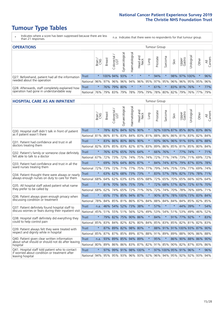- \* Indicates where a score has been suppressed because there are less than 21 responses.
- n.a. Indicates that there were no respondents for that tumour group.

| <b>OPERATIONS</b>                                |              |         |               |                       |                        |                |                  |             | Tumour Group |         |      |                 |                                         |         |                |
|--------------------------------------------------|--------------|---------|---------------|-----------------------|------------------------|----------------|------------------|-------------|--------------|---------|------|-----------------|-----------------------------------------|---------|----------------|
|                                                  |              | Brain   | <b>Breast</b> | olorectal<br>LGT<br>Ü | ᠊ᢛ<br>haecologic<br>δř | Haematological | Head and<br>Neck | <b>Dung</b> | Prostate     | Sarcoma | Skin | Upper<br>Gastro | Urological                              | Other   | All<br>Cancers |
| Q27. Beforehand, patient had all the information | <b>Trust</b> | $\star$ | 100% 94%      |                       | 93%                    | $\star$        | $\star$          | $\star$     | 94%          |         |      |                 | 98% 97% 100%                            | $\ast$  | 96%            |
| needed about the operation                       | National     | 96%     |               | 97% 96%               |                        |                |                  |             |              |         |      |                 | 96% 94% 96% 95% 97% 95% 96% 96% 95% 95% |         | 96%            |
| Q28. Afterwards, staff completely explained how  | <b>Trust</b> | $\star$ |               | 76% 79%               | 80%                    |                | $\star$          | $\star$     | 61%          |         |      |                 | 83% 81% 76%                             | $\star$ | 77%            |
| operation had gone in understandable way         | National     | 76%     | 79%           | 83%                   |                        |                | 79%   78%   79%  |             |              |         |      |                 | 79% 78% 80% 82% 79% 76% 77%             |         | 79%            |

#### **HOSPITAL CARE AS AN INPATIENT** Tumour Group

|                                                                                                   |              | Brain   | <b>Breast</b> | $\frac{\text{Colored}}{\text{LGT}}$ | Gynaecological | Haematological          | Head and<br>Neck | Lung    | Prostate | Sarcoma | Skin    | Upper<br>Gastro              | Urological | Other   | Cancers<br>$\overline{\overline{z}}$ |
|---------------------------------------------------------------------------------------------------|--------------|---------|---------------|-------------------------------------|----------------|-------------------------|------------------|---------|----------|---------|---------|------------------------------|------------|---------|--------------------------------------|
| Q30. Hospital staff didn't talk in front of patient                                               | Trust        | $\star$ | 78%           | 82%                                 | 84%            | 92%                     | 90%              | $\star$ |          |         |         | 92% 100% 87% 85% 80% 83% 86% |            |         |                                      |
| as if patient wasn't there                                                                        | National     | 81%     | $86\%$        | 81%                                 | 83%            | 84% 83% 81%             |                  |         | 88%      | 86%     |         | 86% 81% 83% 82%              |            |         | 84%                                  |
| Q31. Patient had confidence and trust in all                                                      | <b>Trust</b> | $\star$ |               |                                     |                | 83% 86% 80% 86% 90%     |                  | $\star$ | 93%      | 96%     |         | 96% 91% 93% 87%              |            |         | 88%                                  |
| doctors treating them                                                                             | National     | 82%     | 83%           | 85%                                 | 83%            | 82%                     | 87%              | 83%     | 89%      | 86%     | 85%     |                              | 81% 85%    | 80%     | 84%                                  |
| Q32. Patient's family or someone close definitely                                                 | <b>Trust</b> | $\star$ |               |                                     |                | 76% 67% 65% 76% 64%     |                  | $\star$ |          | 66% 76% |         |                              | 77% 74%    | $\star$ | 71%                                  |
| felt able to talk to a doctor                                                                     | National     | 67%     | 72%           | 73%                                 | 72%            | 74%                     | 75%              | 74%     | 72%      | 71%     | 74%     | 73%                          | 71%        | 69%     | 72%                                  |
| Q33. Patient had confidence and trust in all the<br>ward nurses treating them                     | <b>Trust</b> | $\star$ | 69%           | 76%                                 |                | 64% 80% 87%             |                  | $\star$ | 84%      | 74%     |         | 87% 79% 87% 83%              |            |         | 78%                                  |
|                                                                                                   | National     | 72%     | 73%           | 72%                                 |                | 71% 77%                 | 75%              | 77%     | 79%      | 74%     |         | 75% 73% 77%                  |            | 69%     | 74%                                  |
| Q34. Patient thought there were always or nearly<br>always enough nurses on duty to care for them | <b>Trust</b> | $\star$ |               | 63% 62%                             | 68%            | 73% 73%                 |                  | $\star$ | 83%      | 57%     |         | 78% 82% 73% 78%              |            |         | 171%                                 |
|                                                                                                   | National     | 68%     | 64%           | 62%                                 |                | 63% 63% 65% 68%         |                  |         | 72%      | 65%     |         | 70% 65% 66%                  |            | 60% 64% |                                      |
| Q35. All hospital staff asked patient what name<br>they prefer to be called by                    | Trust        | $\star$ |               |                                     |                | 81% 70% 56% 75% 73%     |                  | $\star$ | 72%      |         |         | 68% 57% 82% 72% 61% 70%      |            |         |                                      |
|                                                                                                   | National     | 68%     | 62%           | 74%                                 | 65%            | 72%                     | 71%              | 76%     | 72%      | 74%     | 70%     |                              | 78% 76%    | 69%     | 71%                                  |
| Q36. Patient always given enough privacy when                                                     | <b>Trust</b> | $\star$ | 65%           | 77%                                 |                | 85% 94% 87%             |                  | $\star$ | 90%      | 87%     |         | 78% 100% 73% 83% 84%         |            |         |                                      |
| discussing condition or treatment                                                                 | National     | 78%     | 84% 85%       |                                     |                | 81% 86% 87% 84%         |                  |         | 88%      | 84%     | 84%     |                              | 84% 85%    | 82% 85% |                                      |
| Q37. Patient definitely found hospital staff to                                                   | <b>Trust</b> | n.a.    | 46%           | 54%                                 | 52%            | 73% 38%                 |                  | $\star$ | 57%      | $\star$ | $\star$ |                              | 44% 39%    | $\star$ | 54%                                  |
| discuss worries or fears during their inpatient visit                                             | National     | 45%     |               |                                     |                | 51% 55% 51% 56%         | 52%              | 49%     | 53%      | 54%     | 51%     |                              | 53% 49%    | 46%     | 52%                                  |
| Q38. Hospital staff definitely did everything they                                                | <b>Trust</b> | $\star$ |               |                                     |                | 79% 82% 75% 90% 86%     |                  | $\star$ | 84%      | $\star$ |         | 91% 77% 92%                  |            | $\star$ | 83%                                  |
| could to help control pain                                                                        | National     | 85%     | 83%           |                                     |                | 84% 82% 82% 80% 84%     |                  |         |          | 85% 83% |         | 85% 82% 81% 82%              |            |         | 83%                                  |
| Q39. Patient always felt they were treated with                                                   | <b>Trust</b> | $\star$ |               |                                     |                | 87% 89% 82% 98% 80%     |                  | $\star$ | 88%      | 91%     |         | 91% 100% 93% 87%             |            |         | 90%                                  |
| respect and dignity while in hospital                                                             | National     | 85%     | 87%           | 87%                                 | 85%            | 89% 87%                 |                  | 88%     | 91%      | 89%     | 89%     |                              | 88% 90%    | 86%     | 88%                                  |
| Q40. Patient given clear written information<br>about what should or should not do after leaving  | <b>Trust</b> | n.a.    | 93%           |                                     |                | 89% 85% 94% 89%         |                  | $\star$ | 95%      | $\star$ |         | 86% 90% 88% 86%              |            |         | 90%                                  |
| hospital                                                                                          | National     | 80%     | 89%           | 86%                                 | 86%            | 83% 87% 82%             |                  |         |          | 91% 85% |         | 90% 82% 87%                  |            | 83% 86% |                                      |
| Q41. Hospital staff told patient who to contact<br>if worried about condition or treatment after  | <b>Trust</b> | $\star$ | 97%           |                                     |                | 99% 91% 98% 100%        |                  | $\star$ |          |         |         | 97% 100% 95% 91% 96%         |            | $\star$ | 96%                                  |
| leaving hospital                                                                                  | National     | 94%     |               |                                     |                | 95% 95% 93% 96% 93% 92% |                  |         |          |         |         | 96% 94% 95% 92% 92% 93% 94%  |            |         |                                      |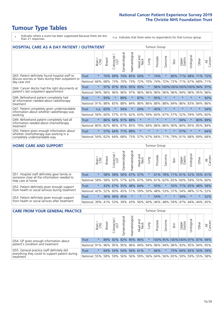- \* Indicates where a score has been suppressed because there are less than 21 responses.
- n.a. Indicates that there were no respondents for that tumour group.

| <b>HOSPITAL CARE AS A DAY PATIENT / OUTPATIENT</b>                                                                    |              |         |               |                 |                |                |                        |          | <b>Tumour Group</b> |              |         |                 |                             |         |                |  |  |
|-----------------------------------------------------------------------------------------------------------------------|--------------|---------|---------------|-----------------|----------------|----------------|------------------------|----------|---------------------|--------------|---------|-----------------|-----------------------------|---------|----------------|--|--|
|                                                                                                                       |              | Brain   | <b>Breast</b> | ╮<br>Colorectal | Gynaecological | Haematological | ad and<br>Neck<br>Head | Lung     | Prostate            | arcoma<br>ιñ | Skin    | Upper<br>Gastro | Urological                  | Other   | All<br>Cancers |  |  |
| Q43. Patient definitely found hospital staff to                                                                       | Trust        | $\star$ | 70%           | 69%             | 74%            | 85%            | 56%                    | $\star$  | 74%                 | $\star$      | 80%     | 71%             | 68%                         | 71%     | 72%            |  |  |
| discuss worries or fears during their outpatient or<br>day case visit                                                 | National     | 66%     | 68%           | 73%             | 70%            | 73%            | 72%                    | 70%      | 74%                 | 72%          | 72%     | 71%             | 67%                         | 68%     | 71%            |  |  |
| Q44. Cancer doctor had the right documents at<br>patient's last outpatient appointment                                | Trust        | $\star$ | 97%           | 97%             | 95%            | 95%            | 93%                    | $^\star$ |                     |              |         |                 | 96% 100% 100% 100% 100% 94% |         | 97%            |  |  |
|                                                                                                                       | National     | 94%     | 96%           | 96%             | 96%            | 97%            | 96%                    | 96%      | 96%                 | 96%          | 96%     |                 | 94% 96%                     | 95%     | 96%            |  |  |
| Q46. Beforehand patient completely had                                                                                | <b>Trust</b> | $\star$ | 93%           | $\star$         | 89%            | $\ast$         | 87%                    | $\star$  | 95%                 | $\star$      | $\star$ | $\star$         | $\star$                     | $\ast$  | 92%            |  |  |
| all information needed about radiotherapy<br>treatment                                                                | National     | 91%     | 88%           | 83%             | 88%            | 84%            | 86%                    | 86%      | 88%                 | 88%          | 84%     | 86%             | 83%                         | 84%     | 86%            |  |  |
| Q47. Patient completely given understandable                                                                          | Trust        | n.a.    | 63%           | $\star$         | 54%            | $\ast$         | 24%                    | $\star$  | 45%                 | $\star$      |         |                 |                             | $\ast$  | 54%            |  |  |
| information about whether radiotherapy was<br>working                                                                 | National     | 56%     | 60%           | 57%             | 61%            | 62%            | 63%                    | 59%      | 60%                 | 67%          | 57%     | 52%             | 59%                         | 59%     | 60%            |  |  |
| Q49. Beforehand patient completely had all                                                                            | Trust        | $\star$ | 86%           |                 | 94% 91%        | 88%            | $\star$                | $\star$  | $\star$             | $\star$      | $\star$ | 94%             | $\star$                     | 80%     | 89%            |  |  |
| information needed about chemotherapy<br>treatment                                                                    | National     | 80%     | 82%           | 86%             | 87%            | 85%            | 79%                    | 84%      | 86%                 | 86%          | 90%     | 84%             | 85%                         | 85%     | 84%            |  |  |
| Q50. Patient given enough information about<br>whether chemotherapy was working in a<br>completely understandable way | Trust        | $\star$ | 57%           | 64%             | 71%            | 89%            | $\star$                | $\star$  | $\star$             | $\star$      | $\star$ | 57%             | $\star$                     | $\star$ | 64%            |  |  |
|                                                                                                                       | National     | 54%     | 62%           | 64%             | 68%            | 75%            |                        | 57% 67%  | 66%                 | 71%          | 79%     | 61%             | 68%                         | 69%     | 68%            |  |  |

#### **HOME CARE AND SUPPORT** Tumour Group

|                                                                                                                   |          | Brain   | <b>Breast</b>   | Colorectal<br>LGT | ᠊ᢛ<br>Gynaecologic | Haematological | ad and<br>Neck<br>Head | <b>Dung</b> | Prostate | Sarcoma     | Skin                    | Upper<br>Gastro | Urologica       | Other   | All<br>Cancers |
|-------------------------------------------------------------------------------------------------------------------|----------|---------|-----------------|-------------------|--------------------|----------------|------------------------|-------------|----------|-------------|-------------------------|-----------------|-----------------|---------|----------------|
| Q51. Hospital staff definitely gave family or<br>someone close all the information needed to<br>help care at home | Trust    | $\star$ |                 | 58% 58%           | 56%                | 67% 57%        |                        |             | 61%      |             | 78% 71% 61% 52% 55% 61% |                 |                 |         |                |
|                                                                                                                   | National | 58%     |                 | 58% 63%           | 57%                |                | 62% 67% 59%            |             |          | 61% 62% 65% |                         |                 | 60% 59% 55% 60% |         |                |
| Q52. Patient definitely given enough support<br>from health or social services during treatment                   | Trust    | $\star$ |                 | 43% 67%           |                    | 55% 48% 64%    |                        |             | 50%      | $\star$     | 50%                     |                 | 71% 65% 48% 58% |         |                |
|                                                                                                                   | National |         | 42% 52% 60%     |                   | 45%                | $ 51\% $       |                        | 59% 50%     |          | 48% 53% 57% |                         |                 | 54% 48% 51%     |         | 52%            |
| Q53. Patient definitely given enough support<br>from health or social services after treatment                    | Trust    | $\star$ |                 | 36% 56%           | 45%                | $\star$        | $\star$                | $\star$     | 54%      | $\star$     | $\star$                 | 54%             | $\star$         | $\star$ | 52%            |
|                                                                                                                   | National |         | 39% 41% 53% 39% |                   |                    | $ 43\% $       |                        | 56% 40% 46% |          | 48% 59%     |                         | 47%             | 44%             | 44%     | 45%            |
|                                                                                                                   |          |         |                 |                   |                    |                |                        |             |          |             |                         |                 |                 |         |                |

| <b>CARE FROM YOUR GENERAL PRACTICE</b>                                                                     |              |         |               |                   |               |                | <b>Tumour Group</b> |         |                                                                 |         |                                |                     |                       |       |                |
|------------------------------------------------------------------------------------------------------------|--------------|---------|---------------|-------------------|---------------|----------------|---------------------|---------|-----------------------------------------------------------------|---------|--------------------------------|---------------------|-----------------------|-------|----------------|
|                                                                                                            |              | Brain,  | <b>Breast</b> | Colorectal<br>LGT | Gynaecologica | Haematological | Head and<br>Neck    | Lung    | Prostate                                                        | Sarcoma | Skin                           | Upper<br>Gastro     | $\sigma$<br>Urologica | Other | All<br>Cancers |
| Q54. GP given enough information about<br>patient's condition and treatment                                | Trust        | $\star$ |               | 89% 92%           |               | 92% 95% 96%    |                     |         |                                                                 |         | 100% 95% 100% 100% 97% 87% 94% |                     |                       |       |                |
|                                                                                                            | National 91% |         |               |                   |               |                |                     |         | 96% 95% 95% 96% 94% 94% 96% 94% 96% 93% 93% 95% 94% 95%         |         |                                |                     |                       |       |                |
| Q55. General practice staff definitely did<br>everything they could to support patient during<br>treatment | <b>Trust</b> | $\star$ |               | 64% 54%           |               | 54% 56% 61%    |                     | $\star$ | 66%                                                             | $\star$ |                                | 75% 64% 65% 50% 59% |                       |       |                |
|                                                                                                            | National 55% |         |               | 58% 59%           |               |                |                     |         | 56%   56%   59%   56%   64%   56%   65%   59%   59%   55%   58% |         |                                |                     |                       |       |                |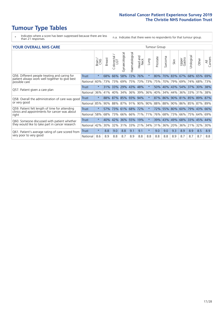- \* Indicates where a score has been suppressed because there are less than 21 responses.
- n.a. Indicates that there were no respondents for that tumour group.

#### **YOUR OVERALL NHS CARE** THE TWO CONTROLLER THE THE THROUP CHANGE THE TUMOUR GROUP

|                                                                                                 |              | Brain<br>CNS | <b>Breast</b> | olorectal<br>LGT<br>U | Gynaecological | Haematological | aad and<br>Neck<br>Head | <b>Gund</b> | Prostate | arcoma<br>$\sqrt{ }$ | Skin | Upper<br>Gastro | लु<br>Urologia | Other    | All<br>Cancers |
|-------------------------------------------------------------------------------------------------|--------------|--------------|---------------|-----------------------|----------------|----------------|-------------------------|-------------|----------|----------------------|------|-----------------|----------------|----------|----------------|
| Q56. Different people treating and caring for                                                   | Trust        | $\star$      | 68%           | 66%                   | 58%            | 72%            | 76%                     | $\star$     | 80%      | 70%                  | 83%  | 67%             | 68%            | 65%      | 69%            |
| patient always work well together to give best<br>possible care                                 | National     | 60%          | 73%           | 73%                   | 69%            | 75%            | 73%                     | 73%         | 75%      | 70%                  | 79%  | 69%             | 74%            | 68%      | 73%            |
| Q57. Patient given a care plan                                                                  | <b>Trust</b> | $\star$      | 31%           | 33%                   | 29% 43%        |                | 48%                     | $\star$     | 50%      | 40%                  | 43%  | 54% 37%         |                | 30% 38%  |                |
|                                                                                                 | National     | 36%          | 41%           | 40%                   | 34%            | 36%            | 39%                     | 36%         | 40%      | 34%                  | 44%  | 36%             | 33%            | 31%      | 38%            |
| Q58. Overall the administration of care was good                                                | <b>Trust</b> | $\star$      | 88%           | 87%                   | 85% 93%        |                | 94%                     | $\star$     | 87%      | 86%                  | 90%  | 81% 85%         |                | 89%      | 87%            |
| or very good                                                                                    | National     | 85%          | 90%           | 88%                   | 87%            | 91%            | 90%                     | 90%         |          | 88% 88%              | 90%  | 86% 85% 87% 89% |                |          |                |
| Q59. Patient felt length of time for attending<br>clinics and appointments for cancer was about | <b>Trust</b> | $\star$      | 57%           |                       | 73% 61% 68%    |                | 172%                    | $\star$     | 72%      | 55% 80%              |      | 60%             | 79%            | $ 43\% $ | 66%            |
| right                                                                                           | National     | 58%          | 68%           | 73%                   | 66%            | 66%            | 71%                     | 71%         | 76%      | 68%                  | 73%  | 66%             | 75%            | 64%      | 69%            |
| Q60. Someone discussed with patient whether                                                     | <b>Trust</b> | $\star$      | 40%           | 42%                   | 36%            | 55%            | 19%                     | $\star$     | 39%      | 43%                  | 49%  | 68% 33%         |                | 45%      | 44%            |
| they would like to take part in cancer research                                                 | National     | 42%          | 30%           | 32%                   | 31%            | 33%            | 21%                     | 34%         | 31%      | 36%                  | 20%  | 36%             | 21%            | 32%      | 30%            |
| Q61. Patient's average rating of care scored from<br>very poor to very good                     | Trust        | $\star$      | 8.8           | 9.0                   | 8.8            | 9.1            | 9.1                     | $\star$     | 9.0      | 9.0                  | 9.3  | 8.9             | 8.9            | 8.5      | 8.9            |
|                                                                                                 | National     | 8.6          | 8.9           | 8.8                   | 8.7            | 8.9            | 8.8                     | 8.8         | 8.8      | 8.8                  | 8.9  | 8.7             | 8.7            | 8.7      | 8.8            |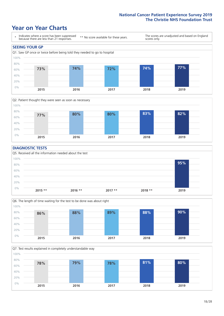### **Year on Year Charts**





#### **DIAGNOSTIC TESTS**





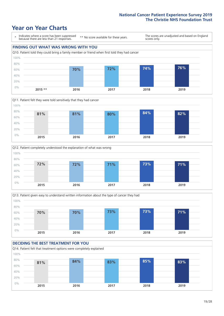### **Year on Year Charts**









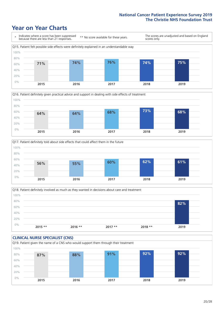### **Year on Year Charts**







Q18. Patient definitely involved as much as they wanted in decisions about care and treatment  $0%$ 20% 40% 60% 80% 100% **2015 \*\* 2016 \*\* 2017 \*\* 2018 \*\* 2019 82%**

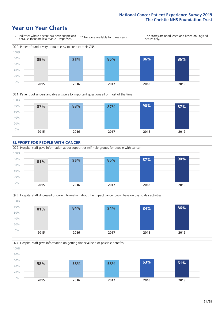### **Year on Year Charts**









Q24. Hospital staff gave information on getting financial help or possible benefits 0% 20% 40% 60% 80% 100% **2015 2016 2017 2018 2019 58% 58% 58% 63% 61%**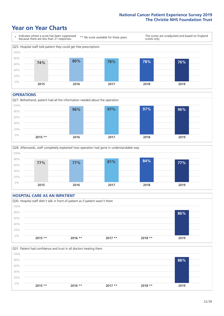### **Year on Year Charts**



#### **OPERATIONS**





#### **HOSPITAL CARE AS AN INPATIENT** Q30. Hospital staff didn't talk in front of patient as if patient wasn't there 0% 20% 40% 60% 80% 100% **2015 \*\* 2016 \*\* 2017 \*\* 2018 \*\* 2019 86%**

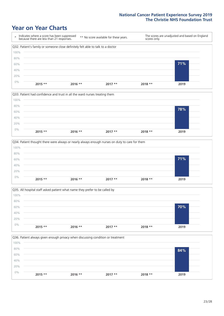### **Year on Year Charts**









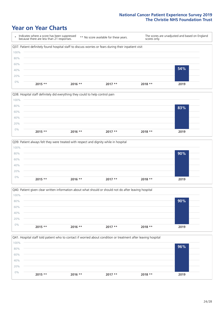### **Year on Year Charts**









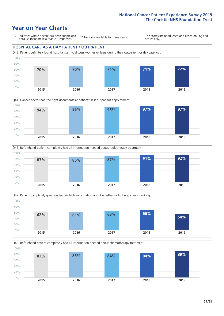### **Year on Year Charts**

0%

\* Indicates where a score has been suppressed because there are less than 21 responses.

\*\* No score available for these years.

The scores are unadjusted and based on England scores only.

#### **HOSPITAL CARE AS A DAY PATIENT / OUTPATIENT**









**2015 2016 2017 2018 2019**

Q49. Beforehand patient completely had all information needed about chemotherapy treatment 20% 40% 60% 80% 100% **83% 85% 84% 84% 89%**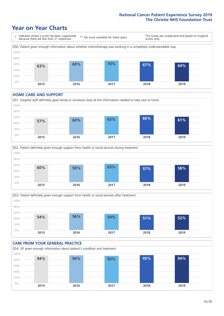### **Year on Year Charts**



#### **HOME CARE AND SUPPORT**







#### **CARE FROM YOUR GENERAL PRACTICE** Q54. GP given enough information about patient's condition and treatment 0% 20% 40% 60% 80% 100% **2015 2016 2017 2018 2019 94% 94% 93% 95% 94%**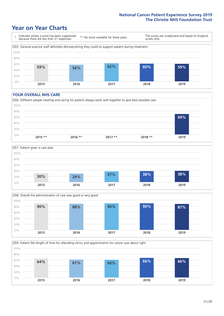### **Year on Year Charts**



#### **YOUR OVERALL NHS CARE**







Q59. Patient felt length of time for attending clinics and appointments for cancer was about right